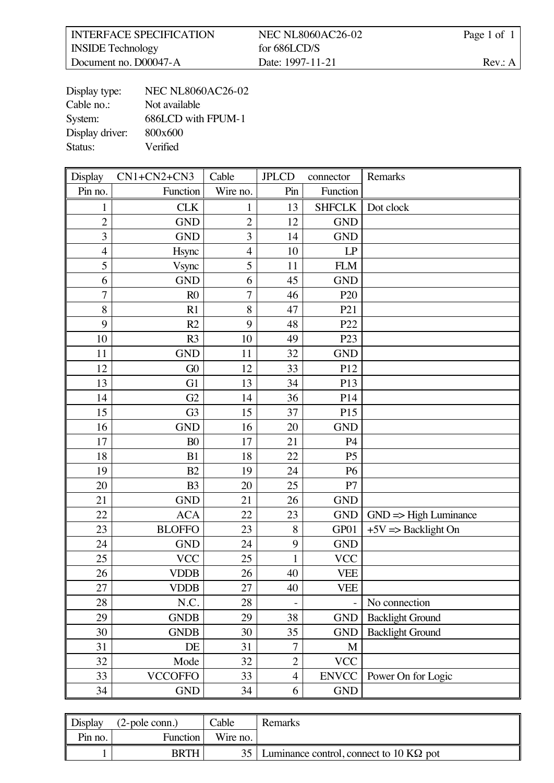| <b>INTERFACE SPECIFICATION</b> | <b>NEC NL8060AC26-02</b> | Page 1 of 1 |
|--------------------------------|--------------------------|-------------|
| <b>INSIDE</b> Technology       | for $686LCD/S$           |             |
| Document no. D00047-A          | Date: 1997-11-21         | Rev: A      |

| Display type:   | <b>NEC NL8060AC26-02</b> |
|-----------------|--------------------------|
| Cable no.:      | Not available            |
| System:         | 686LCD with FPUM-1       |
| Display driver: | 800x600                  |
| Status:         | Verified                 |

| Display        | $CN1+CN2+CN3$  | Cable          | <b>JPLCD</b>   | connector       | Remarks                          |
|----------------|----------------|----------------|----------------|-----------------|----------------------------------|
| Pin no.        | Function       | Wire no.       | Pin            | Function        |                                  |
| $\mathbf{1}$   | <b>CLK</b>     | 1              | 13             | <b>SHFCLK</b>   | Dot clock                        |
| $\overline{2}$ | <b>GND</b>     | $\overline{c}$ | 12             | <b>GND</b>      |                                  |
| $\overline{3}$ | <b>GND</b>     | $\overline{3}$ | 14             | <b>GND</b>      |                                  |
| $\overline{4}$ | Hsync          | $\overline{4}$ | 10             | LP              |                                  |
| 5              | Vsync          | 5              | 11             | <b>FLM</b>      |                                  |
| 6              | <b>GND</b>     | 6              | 45             | <b>GND</b>      |                                  |
| $\overline{7}$ | R <sub>0</sub> | $\overline{7}$ | 46             | P <sub>20</sub> |                                  |
| 8              | R1             | 8              | 47             | P <sub>21</sub> |                                  |
| 9              | R2             | 9              | 48             | P22             |                                  |
| 10             | R <sub>3</sub> | 10             | 49             | P <sub>23</sub> |                                  |
| 11             | <b>GND</b>     | 11             | 32             | <b>GND</b>      |                                  |
| 12             | G0             | 12             | 33             | P12             |                                  |
| 13             | G <sub>1</sub> | 13             | 34             | P13             |                                  |
| 14             | G2             | 14             | 36             | P14             |                                  |
| 15             | G <sub>3</sub> | 15             | 37             | P15             |                                  |
| 16             | <b>GND</b>     | 16             | 20             | <b>GND</b>      |                                  |
| 17             | B <sub>0</sub> | 17             | 21             | P <sub>4</sub>  |                                  |
| 18             | B1             | 18             | 22             | P <sub>5</sub>  |                                  |
| 19             | B2             | 19             | 24             | P <sub>6</sub>  |                                  |
| 20             | B <sub>3</sub> | 20             | 25             | P7              |                                  |
| 21             | <b>GND</b>     | 21             | 26             | <b>GND</b>      |                                  |
| 22             | <b>ACA</b>     | 22             | 23             | <b>GND</b>      | $GND \Rightarrow High$ Luminance |
| 23             | <b>BLOFFO</b>  | 23             | 8              | GP01            | $+5V \Rightarrow$ Backlight On   |
| 24             | <b>GND</b>     | 24             | 9              | <b>GND</b>      |                                  |
| 25             | <b>VCC</b>     | 25             | $\mathbf{1}$   | <b>VCC</b>      |                                  |
| 26             | <b>VDDB</b>    | 26             | 40             | <b>VEE</b>      |                                  |
| 27             | VDDB           | 27             | 40             | VEE             |                                  |
| 28             | N.C.           | 28             |                |                 | No connection                    |
| 29             | <b>GNDB</b>    | 29             | 38             | <b>GND</b>      | <b>Backlight Ground</b>          |
| 30             | <b>GNDB</b>    | 30             | 35             | <b>GND</b>      | <b>Backlight Ground</b>          |
| 31             | DE             | 31             | $\overline{7}$ | M               |                                  |
| 32             | Mode           | 32             | $\overline{2}$ | <b>VCC</b>      |                                  |
| 33             | <b>VCCOFFO</b> | 33             | $\overline{4}$ | <b>ENVCC</b>    | Power On for Logic               |
| 34             | <b>GND</b>     | 34             | 6              | <b>GND</b>      |                                  |

| Display             | $(2-pole conn.)$ | $\alpha$ able   | <b>Remarks</b>                          |
|---------------------|------------------|-----------------|-----------------------------------------|
| P <sub>in</sub> no. | Function         | Wire no.        |                                         |
|                     | <b>BRTH</b>      | 35 <sub>1</sub> | Luminance control, connect to 10 KQ pot |